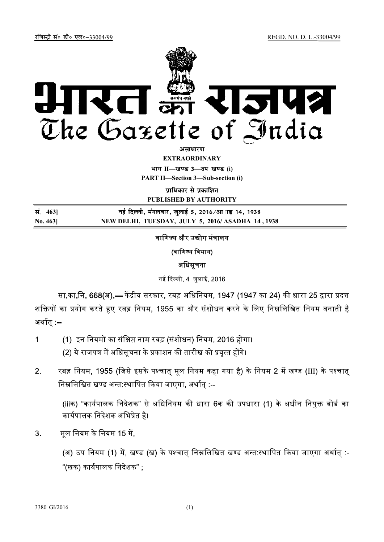

अमाधारण

**EXTRAORDINARY**

**II— — (i) PART II—Section 3—Sub-section (i)** 

पाधिकार से पकाशित

**PUBLISHED BY AUTHORITY**

| सं. 463]       | नई दिल्ली, मंगलवार, जुलाई 5, 2016 ⁄आ ∏ढ़ 14, 1938 |
|----------------|---------------------------------------------------|
| $\bf{No. 463}$ | NEW DELHI, TUESDAY, JULY 5, 2016/ASADHA 14, 1938  |

# वाणिज्य और उद्योग मंत्रालय

(वाणिज्य विभाग)

## अधिसूचना

नई दिल्ली, 4 जुलाई, 2016

**सा.का.नि. 668(अ).—** केंद्रीय सरकार, रबड़ अधिनियम, 1947 (1947 का 24) की धारा 25 द्वारा प्रदत्त शक्तियों का प्रयोग करते हुए रबड़ नियम, 1955 का और संशोधन करने के लिए निम्नलिखित नियम बनाती है अर्थात् :--

- (1) इन नियमों का संक्षिप्त नाम रबड़ (संशोधन) नियम, 2016 होगा।  $\mathbf{1}$ (2) ये राजपत्र में अधिसूचना के प्रकाशन की तारीख को प्रवृत्त होंगे।
- रबड़ नियम, 1955 (जिसे इसके पश्चात मुल नियम कहा गया है) के नियम 2 में खण्ड (III) के पश्चात  $2.$ निम्नलिखित खण्ड अन्त:स्थापित किया जाएगा, अर्थात :--

(iiiक) "कार्यपालक निदेशक" से अधिनियम की धारा 6क की उपधारा (1) के अधीन नियुक्त बोर्ड का कार्यपालक निदेशक अभिप्रेत है।

 $3.$ मूल नियम के नियम 15 में,

> (अ) उप नियम (1) में, खण्ड (ख) के पश्चात् निम्नलिखित खण्ड अन्त:स्थापित किया जाएगा अर्थात् :-"(खक) कार्यपालक निदेशक" ;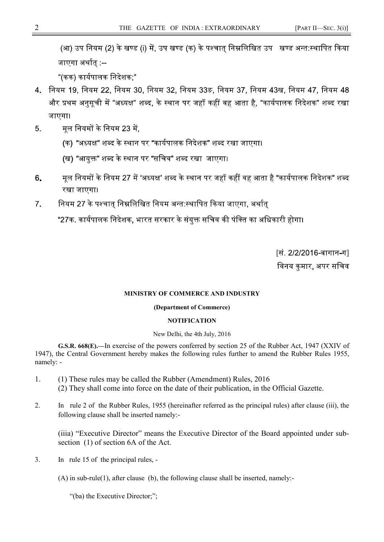(आ) उप नियम (2) के खण्ड (i) में, उप खण्ड (क) के पश्चात निम्नलिखित उप खण्ड अन्त:स्थापित किया जाएगा अर्थात :--

"(कक) कार्यपालक निदेशक:"

- 4. नियम 19, नियम 22, नियम 30, नियम 32, नियम 33ङ, नियम 37, नियम 43ख, नियम 47, नियम 48 और प्रथम अनुसूची में "अध्यक्ष" शब्द, के स्थान पर जहॉं कहीं वह आता है, "कार्यपालक निदेशक" शब्द रखा जाएगा।
- मल नियमों के नियम 23 में.  $5.$ 
	- (क) "अध्यक्ष" शब्द के स्थान पर "कार्यपालक निदेशक" शब्द रखा जाएगा।
	- (ख) "आयुक्त" शब्द के स्थान पर "सचिव" शब्द रखा जाएगा।
- मूल नियमों के नियम 27 में 'अध्यक्ष' शब्द के स्थान पर जहाँ कहीं वह आता है "कार्यपालक निदेशक" शब्द 6. रखा जाएगा।
- नियम 27 के पश्चात निम्नलिखित नियम अन्त:स्थापित किया जाएगा, अर्थात  $7<sup>1</sup>$

"27क. कार्यपालक निदेशक, भारत सरकार के संयुक्त सचिव की पंक्ति का अधिकारी होगा।

<u>[सं. 2/2/2016-बागान-ग]</u> विनय कमार, अपर सचिव

#### **MINISTRY OF COMMERCE AND INDUSTRY**

#### **(Department of Commerce)**

### **NOTIFICATION**

#### New Delhi, the 4th July, 2016

**G.S.R. 668(E).—**In exercise of the powers conferred by section 25 of the Rubber Act, 1947 (XXIV of 1947), the Central Government hereby makes the following rules further to amend the Rubber Rules 1955, namely: -

- 1. (1) These rules may be called the Rubber (Amendment) Rules, 2016 (2) They shall come into force on the date of their publication, in the Official Gazette.
- 2. In rule 2 of the Rubber Rules, 1955 (hereinafter referred as the principal rules) after clause (iii), the following clause shall be inserted namely:-

(iiia) "Executive Director" means the Executive Director of the Board appointed under subsection (1) of section 6A of the Act.

3. In rule 15 of the principal rules, -

(A) in sub-rule(1), after clause (b), the following clause shall be inserted, namely:-

"(ba) the Executive Director;";